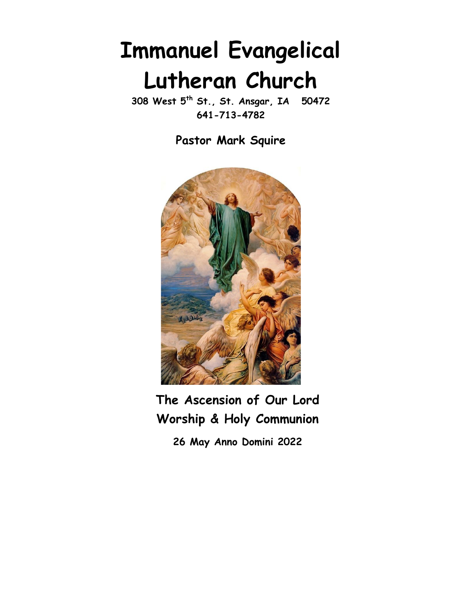# Immanuel Evangelical Lutheran Church

308 West 5<sup>th</sup> St., St. Ansgar, IA 50472 641-713-4782

Pastor Mark Squire



## The Ascension of Our Lord Worship & Holy Communion

26 May Anno Domini 2022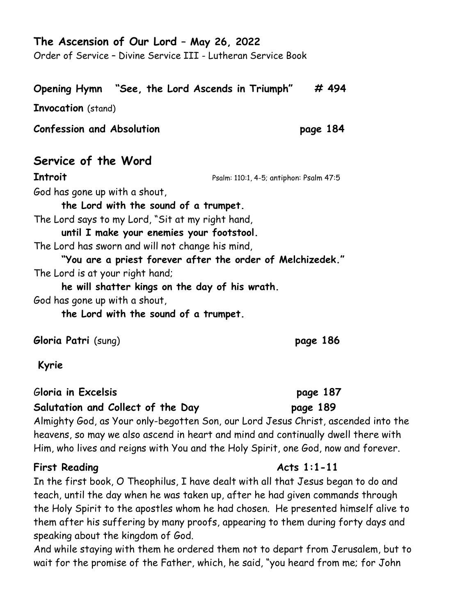#### The Ascension of Our Lord – May 26, 2022

Order of Service – Divine Service III - Lutheran Service Book

#### Opening Hymn "See, the Lord Ascends in Triumph" # 494 Ξ

Invocation (stand)

Confession and Absolution page 184

#### Service of the Word

**Introit** Psalm: 110:1, 4-5; antiphon: Psalm 47:5

God has gone up with a shout,

the Lord with the sound of a trumpet. The Lord says to my Lord, "Sit at my right hand, until I make your enemies your footstool.

The Lord has sworn and will not change his mind,

"You are a priest forever after the order of Melchizedek." The Lord is at your right hand;

he will shatter kings on the day of his wrath. God has gone up with a shout,

the Lord with the sound of a trumpet.

Gloria Patri (sung) page 186

Kyrie

Gloria in Excelsis page 187

#### Salutation and Collect of the Day page 189

Almighty God, as Your only-begotten Son, our Lord Jesus Christ, ascended into the heavens, so may we also ascend in heart and mind and continually dwell there with Him, who lives and reigns with You and the Holy Spirit, one God, now and forever.

#### First Reading The Contract Contract Acts 1:1-11

In the first book, O Theophilus, I have dealt with all that Jesus began to do and teach, until the day when he was taken up, after he had given commands through the Holy Spirit to the apostles whom he had chosen. He presented himself alive to them after his suffering by many proofs, appearing to them during forty days and speaking about the kingdom of God.

And while staying with them he ordered them not to depart from Jerusalem, but to wait for the promise of the Father, which, he said, "you heard from me; for John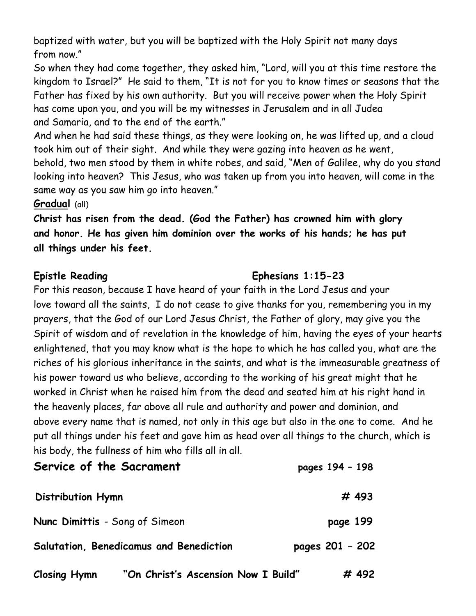baptized with water, but you will be baptized with the Holy Spirit not many days from now."

So when they had come together, they asked him, "Lord, will you at this time restore the kingdom to Israel?" He said to them, "It is not for you to know times or seasons that the Father has fixed by his own authority. But you will receive power when the Holy Spirit has come upon you, and you will be my witnesses in Jerusalem and in all Judea and Samaria, and to the end of the earth."

And when he had said these things, as they were looking on, he was lifted up, and a cloud took him out of their sight. And while they were gazing into heaven as he went, behold, two men stood by them in white robes, and said, "Men of Galilee, why do you stand looking into heaven? This Jesus, who was taken up from you into heaven, will come in the same way as you saw him go into heaven."

#### Gradual (all)

Christ has risen from the dead. (God the Father) has crowned him with glory and honor. He has given him dominion over the works of his hands; he has put all things under his feet.

#### Epistle Reading Ephesians 1:15-23

For this reason, because I have heard of your faith in the Lord Jesus and your love toward all the saints, I do not cease to give thanks for you, remembering you in my prayers, that the God of our Lord Jesus Christ, the Father of glory, may give you the Spirit of wisdom and of revelation in the knowledge of him, having the eyes of your hearts enlightened, that you may know what is the hope to which he has called you, what are the riches of his glorious inheritance in the saints, and what is the immeasurable greatness of his power toward us who believe, according to the working of his great might that he worked in Christ when he raised him from the dead and seated him at his right hand in the heavenly places, far above all rule and authority and power and dominion, and above every name that is named, not only in this age but also in the one to come. And he put all things under his feet and gave him as head over all things to the church, which is his body, the fullness of him who fills all in all.

| Service of the Sacrament                |                                     | pages 194 - 198 |
|-----------------------------------------|-------------------------------------|-----------------|
| <b>Distribution Hymn</b>                |                                     | # 493           |
| Nunc Dimittis - Song of Simeon          |                                     | page 199        |
| Salutation, Benedicamus and Benediction |                                     | pages 201 - 202 |
| <b>Closing Hymn</b>                     | "On Christ's Ascension Now I Build" | # 492           |